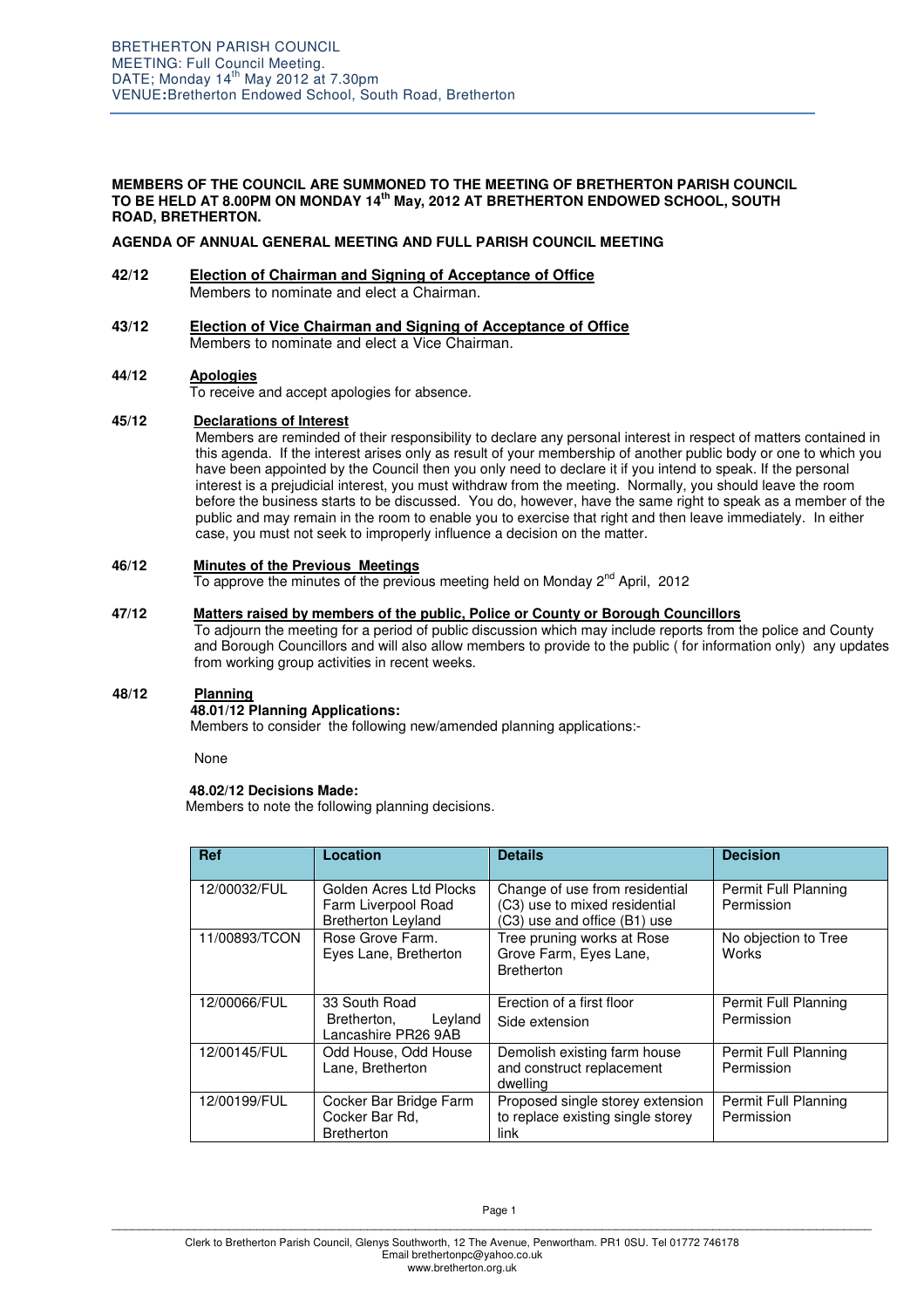## **MEMBERS OF THE COUNCIL ARE SUMMONED TO THE MEETING OF BRETHERTON PARISH COUNCIL TO BE HELD AT 8.00PM ON MONDAY 14th May, 2012 AT BRETHERTON ENDOWED SCHOOL, SOUTH ROAD, BRETHERTON.**

## **AGENDA OF ANNUAL GENERAL MEETING AND FULL PARISH COUNCIL MEETING**

- **42/12 Election of Chairman and Signing of Acceptance of Office** Members to nominate and elect a Chairman.
- **43/12 Election of Vice Chairman and Signing of Acceptance of Office** Members to nominate and elect a Vice Chairman.

## **44/12 Apologies**

To receive and accept apologies for absence.

## **45/12 Declarations of Interest**

Members are reminded of their responsibility to declare any personal interest in respect of matters contained in this agenda. If the interest arises only as result of your membership of another public body or one to which you have been appointed by the Council then you only need to declare it if you intend to speak. If the personal interest is a prejudicial interest, you must withdraw from the meeting. Normally, you should leave the room before the business starts to be discussed. You do, however, have the same right to speak as a member of the public and may remain in the room to enable you to exercise that right and then leave immediately. In either case, you must not seek to improperly influence a decision on the matter.

## **46/12 Minutes of the Previous Meetings**

To approve the minutes of the previous meeting held on Monday 2<sup>nd</sup> April, 2012

## **47/12 Matters raised by members of the public, Police or County or Borough Councillors**

 To adjourn the meeting for a period of public discussion which may include reports from the police and County and Borough Councillors and will also allow members to provide to the public ( for information only) any updates from working group activities in recent weeks.

## **48/12 Planning**

## **48.01/12 Planning Applications:**

Members to consider the following new/amended planning applications:-

None

# **48.02/12 Decisions Made:**

Members to note the following planning decisions.

| <b>Ref</b>    | Location                                                                    | <b>Details</b>                                                                                  | <b>Decision</b>                      |
|---------------|-----------------------------------------------------------------------------|-------------------------------------------------------------------------------------------------|--------------------------------------|
| 12/00032/FUL  | Golden Acres Ltd Plocks<br>Farm Liverpool Road<br><b>Bretherton Leyland</b> | Change of use from residential<br>(C3) use to mixed residential<br>(C3) use and office (B1) use | Permit Full Planning<br>Permission   |
| 11/00893/TCON | Rose Grove Farm.<br>Eyes Lane, Bretherton                                   | Tree pruning works at Rose<br>Grove Farm, Eyes Lane,<br><b>Bretherton</b>                       | No objection to Tree<br><b>Works</b> |
| 12/00066/FUL  | 33 South Road<br>Leyland<br>Bretherton,<br>Lancashire PR26 9AB              | Erection of a first floor<br>Side extension                                                     | Permit Full Planning<br>Permission   |
| 12/00145/FUL  | Odd House, Odd House<br>Lane, Bretherton                                    | Demolish existing farm house<br>and construct replacement<br>dwelling                           | Permit Full Planning<br>Permission   |
| 12/00199/FUL  | Cocker Bar Bridge Farm<br>Cocker Bar Rd,<br><b>Bretherton</b>               | Proposed single storey extension<br>to replace existing single storey<br>link                   | Permit Full Planning<br>Permission   |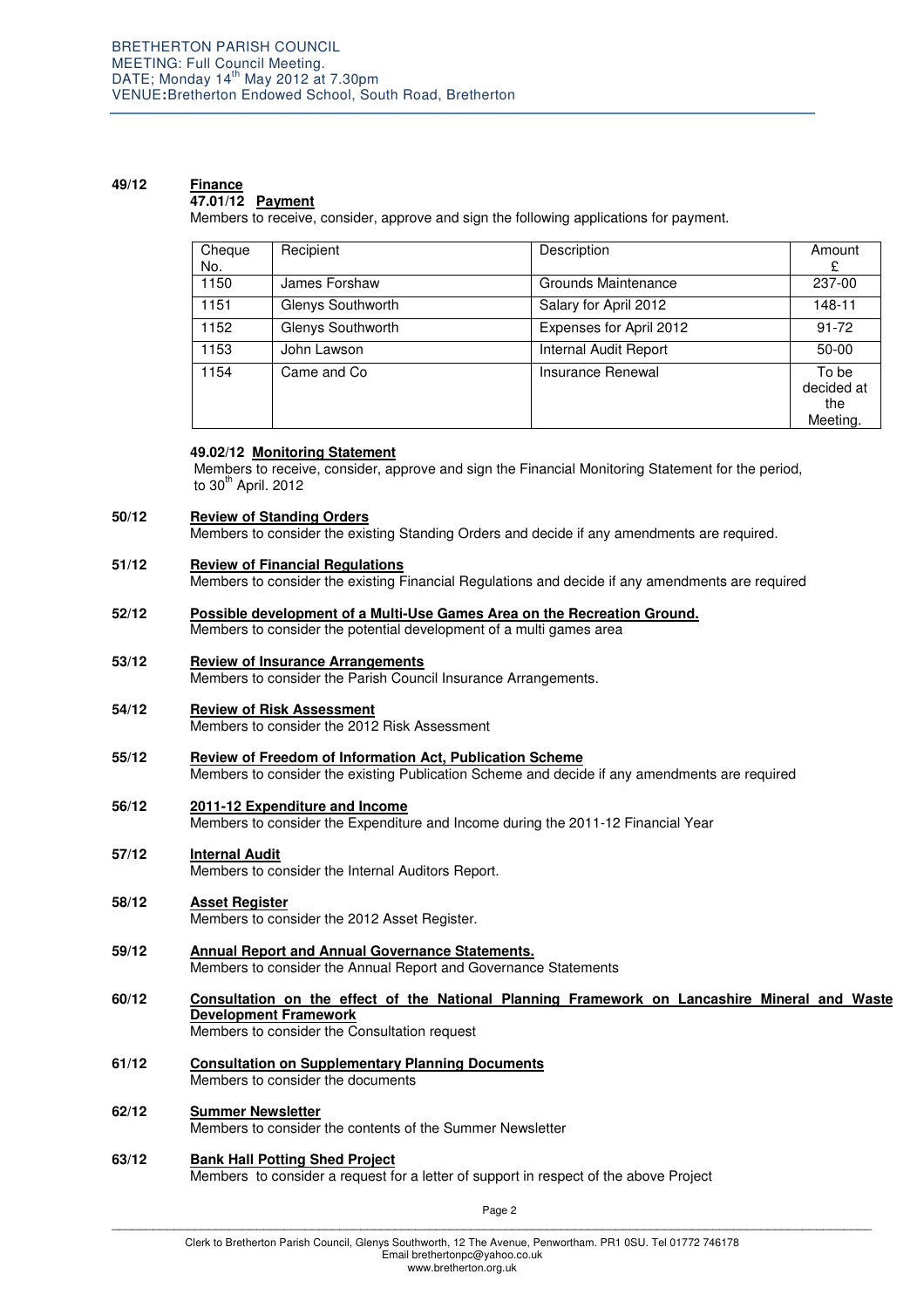### **49/12 Finance 47.01/12 Payment**

Members to receive, consider, approve and sign the following applications for payment.

| Cheque<br>No. | Recipient         | Description             | Amount<br>£                            |
|---------------|-------------------|-------------------------|----------------------------------------|
| 1150          | James Forshaw     | Grounds Maintenance     | 237-00                                 |
| 1151          | Glenys Southworth | Salary for April 2012   | 148-11                                 |
| 1152          | Glenys Southworth | Expenses for April 2012 | $91 - 72$                              |
| 1153          | John Lawson       | Internal Audit Report   | $50-00$                                |
| 1154          | Came and Co       | Insurance Renewal       | To be<br>decided at<br>the<br>Meeting. |

## **49.02/12 Monitoring Statement**

 Members to receive, consider, approve and sign the Financial Monitoring Statement for the period, to  $30<sup>th</sup>$  April. 2012

### **50/12 Review of Standing Orders**

Members to consider the existing Standing Orders and decide if any amendments are required.

#### **51/12 Review of Financial Regulations**

Members to consider the existing Financial Regulations and decide if any amendments are required

- **52/12 Possible development of a Multi-Use Games Area on the Recreation Ground.** Members to consider the potential development of a multi games area
- **53/12 Review of Insurance Arrangements**

**Members to consider the Parish Council Insurance Arrangements.** 

- **54/12 Review of Risk Assessment** Members to consider the 2012 Risk Assessment
- **55/12 Review of Freedom of Information Act, Publication Scheme** Members to consider the existing Publication Scheme and decide if any amendments are required
- **56/12 2011-12 Expenditure and Income**

Members to consider the Expenditure and Income during the 2011-12 Financial Year

**57/12 Internal Audit**

Members to consider the Internal Auditors Report.

- **58/12 Asset Register** Members to consider the 2012 Asset Register.
- **59/12 Annual Report and Annual Governance Statements.** Members to consider the Annual Report and Governance Statements
- **60/12 Consultation on the effect of the National Planning Framework on Lancashire Mineral and Waste Development Framework** Members to consider the Consultation request
- **61/12 Consultation on Supplementary Planning Documents** Members to consider the documents
- **62/12 Summer Newsletter** Members to consider the contents of the Summer Newsletter
- **63/12 Bank Hall Potting Shed Project** Members to consider a request for a letter of support in respect of the above Project

Page 2 \_\_\_\_\_\_\_\_\_\_\_\_\_\_\_\_\_\_\_\_\_\_\_\_\_\_\_\_\_\_\_\_\_\_\_\_\_\_\_\_\_\_\_\_\_\_\_\_\_\_\_\_\_\_\_\_\_\_\_\_\_\_\_\_\_\_\_\_\_\_\_\_\_\_\_\_\_\_\_\_\_\_\_\_\_\_\_\_\_\_\_\_\_\_\_\_\_\_\_\_\_\_\_\_\_\_\_\_\_\_